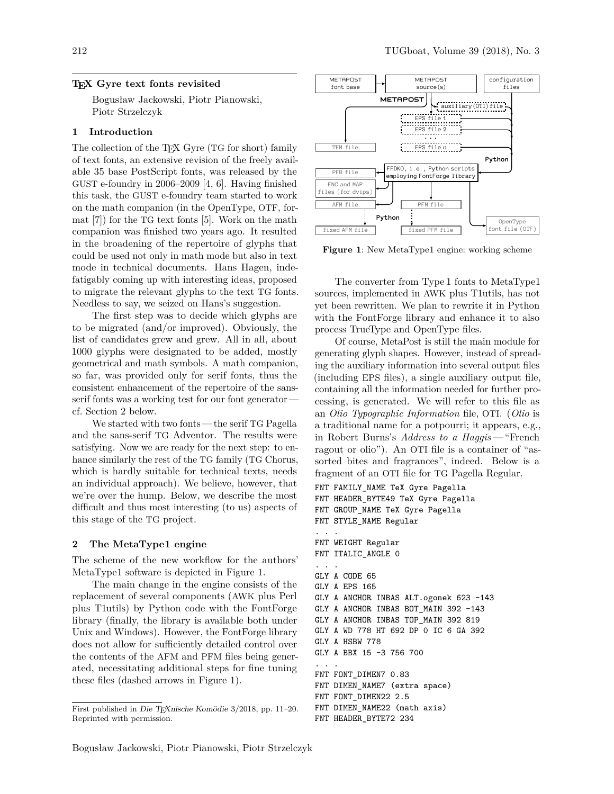### **TEX Gyre text fonts revisited**

Bogusław Jackowski, Piotr Pianowski, Piotr Strzelczyk

# **1 Introduction**

The collection of the TEX Gyre (TG for short) family of text fonts, an extensive revision of the freely available 35 base PostScript fonts, was released by the GUST e-foundry in 2006–2009 [4, 6]. Having finished this task, the GUST e-foundry team started to work on the math companion (in the OpenType, OTF, format [7]) for the TG text fonts [5]. Work on the math companion was finished two years ago. It resulted in the broadening of the repertoire of glyphs that could be used not only in math mode but also in text mode in technical documents. Hans Hagen, indefatigably coming up with interesting ideas, proposed to migrate the relevant glyphs to the text TG fonts. Needless to say, we seized on Hans's suggestion.

The first step was to decide which glyphs are to be migrated (and/or improved). Obviously, the list of candidates grew and grew. All in all, about 1000 glyphs were designated to be added, mostly geometrical and math symbols. A math companion, so far, was provided only for serif fonts, thus the consistent enhancement of the repertoire of the sansserif fonts was a working test for our font generatorcf. Section 2 below.

We started with two fonts — the serif TG Pagella and the sans-serif TG Adventor. The results were satisfying. Now we are ready for the next step: to enhance similarly the rest of the TG family (TG Chorus, which is hardly suitable for technical texts, needs an individual approach). We believe, however, that we're over the hump. Below, we describe the most difficult and thus most interesting (to us) aspects of this stage of the TG project.

## **2 The MetaType1 engine**

The scheme of the new workflow for the authors' MetaType1 software is depicted in Figure 1.

The main change in the engine consists of the replacement of several components (AWK plus Perl plus T1utils) by Python code with the FontForge library (finally, the library is available both under Unix and Windows). However, the FontForge library does not allow for sufficiently detailed control over the contents of the AFM and PFM files being generated, necessitating additional steps for fine tuning these files (dashed arrows in Figure 1).



**Figure 1**: New MetaType1 engine: working scheme

The converter from Type 1 fonts to MetaType1 sources, implemented in AWK plus T1utils, has not yet been rewritten. We plan to rewrite it in Python with the FontForge library and enhance it to also process TrueType and OpenType files.

Of course, MetaPost is still the main module for generating glyph shapes. However, instead of spreading the auxiliary information into several output files (including EPS files), a single auxiliary output file, containing all the information needed for further processing, is generated. We will refer to this file as an *Olio Typographic Information* file, OTI. (*Olio* is a traditional name for a potpourri; it appears, e.g., in Robert Burns's *Address to a Haggis* — "French ragout or olio"). An OTI file is a container of "assorted bites and fragrances", indeed. Below is a fragment of an OTI file for TG Pagella Regular.

```
FNT FAMILY_NAME TeX Gyre Pagella
FNT HEADER_BYTE49 TeX Gyre Pagella
FNT GROUP_NAME TeX Gyre Pagella
FNT STYLE_NAME Regular
. . .
FNT WEIGHT Regular
FNT ITALIC ANGLE O
 . . .
GLY A CODE 65
GLY A EPS 165
GLY A ANCHOR INBAS ALT.ogonek 623 -143
GLY A ANCHOR INBAS BOT MAIN 392 -143
GLY A ANCHOR INBAS TOP_MAIN 392 819
GLY A WD 778 HT 692 DP 0 IC 6 GA 392
GLY A HSBW 778
GLY A BBX 15 -3 756 700
. . .
FNT FONT_DIMEN7 0.83
FNT DIMEN_NAME7 (extra space)
FNT FONT_DIMEN22 2.5
FNT DIMEN_NAME22 (math axis)
FNT HEADER_BYTE72 234
```
First published in Die TEXnische Komödie 3/2018, pp. 11–20. Reprinted with permission.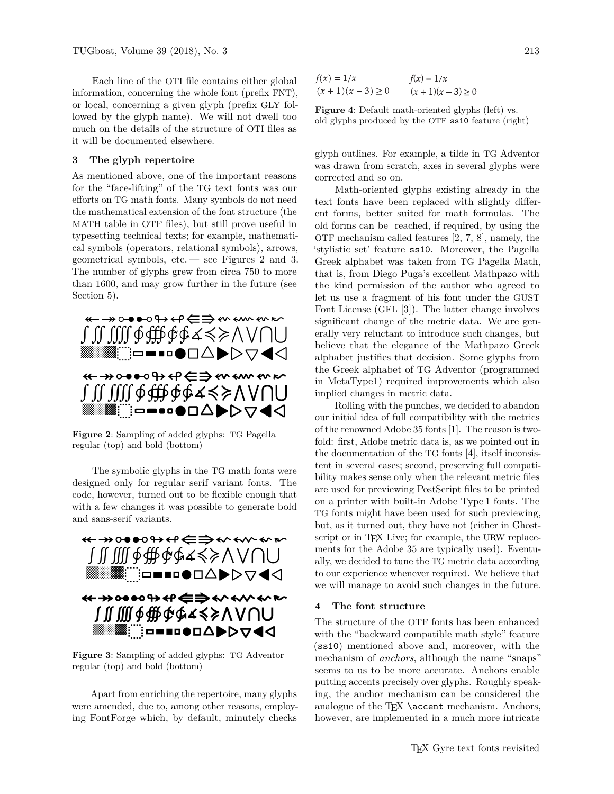Each line of the OTI file contains either global information, concerning the whole font (prefix FNT), or local, concerning a given glyph (prefix GLY followed by the glyph name). We will not dwell too much on the details of the structure of OTI files as it will be documented elsewhere.

#### **3 The glyph repertoire**

As mentioned above, one of the important reasons for the "face-lifting" of the TG text fonts was our efforts on TG math fonts. Many symbols do not need the mathematical extension of the font structure (the MATH table in OTF files), but still prove useful in typesetting technical texts; for example, mathematical symbols (operators, relational symbols), arrows, geometrical symbols, etc.— see Figures 2 and 3. The number of glyphs grew from circa 750 to more than 1600, and may grow further in the future (see Section 5).



**Figure 2**: Sampling of added glyphs: TG Pagella regular (top) and bold (bottom)

The symbolic glyphs in the TG math fonts were designed only for regular serif variant fonts. The code, however, turned out to be flexible enough that with a few changes it was possible to generate bold and sans-serif variants.



**Figure 3**: Sampling of added glyphs: TG Adventor regular (top) and bold (bottom)

Apart from enriching the repertoire, many glyphs were amended, due to, among other reasons, employing FontForge which, by default, minutely checks

 $f(x) = 1/x$  $f(x) = 1/x$  $(x + 1)(x - 3) \ge 0$  $(x + 1)(x - 3) \ge 0$ 

**Figure 4**: Default math-oriented glyphs (left) vs. old glyphs produced by the OTF ss10 feature (right)

glyph outlines. For example, a tilde in TG Adventor was drawn from scratch, axes in several glyphs were corrected and so on.

Math-oriented glyphs existing already in the text fonts have been replaced with slightly different forms, better suited for math formulas. The old forms can be reached, if required, by using the OTF mechanism called features [2, 7, 8], namely, the 'stylistic set' feature ss10. Moreover, the Pagella Greek alphabet was taken from TG Pagella Math, that is, from Diego Puga's excellent Mathpazo with the kind permission of the author who agreed to let us use a fragment of his font under the GUST Font License (GFL [3]). The latter change involves significant change of the metric data. We are generally very reluctant to introduce such changes, but believe that the elegance of the Mathpazo Greek alphabet justifies that decision. Some glyphs from the Greek alphabet of TG Adventor (programmed in MetaType1) required improvements which also implied changes in metric data.

Rolling with the punches, we decided to abandon our initial idea of full compatibility with the metrics of the renowned Adobe 35 fonts [1]. The reason is twofold: first, Adobe metric data is, as we pointed out in the documentation of the TG fonts [4], itself inconsistent in several cases; second, preserving full compatibility makes sense only when the relevant metric files are used for previewing PostScript files to be printed on a printer with built-in Adobe Type 1 fonts. The TG fonts might have been used for such previewing, but, as it turned out, they have not (either in Ghostscript or in T<sub>F</sub>X Live; for example, the URW replacements for the Adobe 35 are typically used). Eventually, we decided to tune the TG metric data according to our experience whenever required. We believe that we will manage to avoid such changes in the future.

### **4 The font structure**

The structure of the OTF fonts has been enhanced with the "backward compatible math style" feature (ss10) mentioned above and, moreover, with the mechanism of *anchors*, although the name "snaps" seems to us to be more accurate. Anchors enable putting accents precisely over glyphs. Roughly speaking, the anchor mechanism can be considered the analogue of the TFX  $\check{C}$  accent mechanism. Anchors, however, are implemented in a much more intricate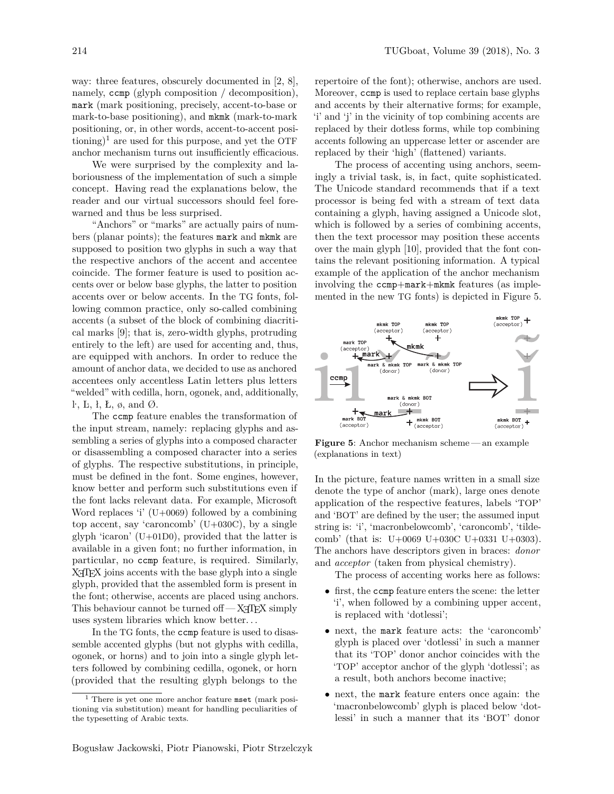way: three features, obscurely documented in [2, 8], namely, ccmp (glyph composition / decomposition), mark (mark positioning, precisely, accent-to-base or mark-to-base positioning), and mkmk (mark-to-mark positioning, or, in other words, accent-to-accent positioning)<sup>1</sup> are used for this purpose, and yet the OTF anchor mechanism turns out insufficiently efficacious.

We were surprised by the complexity and laboriousness of the implementation of such a simple concept. Having read the explanations below, the reader and our virtual successors should feel forewarned and thus be less surprised.

"Anchors" or "marks" are actually pairs of numbers (planar points); the features mark and mkmk are supposed to position two glyphs in such a way that the respective anchors of the accent and accentee coincide. The former feature is used to position accents over or below base glyphs, the latter to position accents over or below accents. In the TG fonts, following common practice, only so-called combining accents (a subset of the block of combining diacritical marks [9]; that is, zero-width glyphs, protruding entirely to the left) are used for accenting and, thus, are equipped with anchors. In order to reduce the amount of anchor data, we decided to use as anchored accentees only accentless Latin letters plus letters "welded" with cedilla, horn, ogonek, and, additionally, l<sup>t</sup>, L, ł, Ł, ø, and Ø.

The ccmp feature enables the transformation of the input stream, namely: replacing glyphs and assembling a series of glyphs into a composed character or disassembling a composed character into a series of glyphs. The respective substitutions, in principle, must be defined in the font. Some engines, however, know better and perform such substitutions even if the font lacks relevant data. For example, Microsoft Word replaces 'i' (U+0069) followed by a combining top accent, say 'caroncomb' (U+030C), by a single glyph 'icaron' ( $U+01D0$ ), provided that the latter is available in a given font; no further information, in particular, no ccmp feature, is required. Similarly, X<sub>H</sub>T<sub>E</sub>X joins accents with the base glyph into a single glyph, provided that the assembled form is present in the font; otherwise, accents are placed using anchors. This behaviour cannot be turned of  $-X$   $TFX$  simply uses system libraries which know better...

In the TG fonts, the ccmp feature is used to disassemble accented glyphs (but not glyphs with cedilla, ogonek, or horns) and to join into a single glyph letters followed by combining cedilla, ogonek, or horn (provided that the resulting glyph belongs to the

repertoire of the font); otherwise, anchors are used. Moreover, ccmp is used to replace certain base glyphs and accents by their alternative forms; for example, 'i' and 'j' in the vicinity of top combining accents are replaced by their dotless forms, while top combining accents following an uppercase letter or ascender are replaced by their 'high' (flattened) variants.

The process of accenting using anchors, seemingly a trivial task, is, in fact, quite sophisticated. The Unicode standard recommends that if a text processor is being fed with a stream of text data containing a glyph, having assigned a Unicode slot, which is followed by a series of combining accents, then the text processor may position these accents over the main glyph [10], provided that the font contains the relevant positioning information. A typical example of the application of the anchor mechanism involving the ccmp+mark+mkmk features (as implemented in the new TG fonts) is depicted in Figure 5.



**Figure 5**: Anchor mechanism scheme— an example (explanations in text)

In the picture, feature names written in a small size denote the type of anchor (mark), large ones denote application of the respective features, labels 'TOP' and 'BOT' are defined by the user; the assumed input string is: 'i', 'macronbelowcomb', 'caroncomb', 'tildecomb' (that is: U+0069 U+030C U+0331 U+0303). The anchors have descriptors given in braces: *donor* and *acceptor* (taken from physical chemistry).

The process of accenting works here as follows:

- first, the ccmp feature enters the scene: the letter 'i', when followed by a combining upper accent, is replaced with 'dotlessi';
- next, the mark feature acts: the 'caroncomb' glyph is placed over 'dotlessi' in such a manner that its 'TOP' donor anchor coincides with the 'TOP' acceptor anchor of the glyph 'dotlessi'; as a result, both anchors become inactive;
- next, the mark feature enters once again: the 'macronbelowcomb' glyph is placed below 'dotlessi' in such a manner that its 'BOT' donor

 $<sup>1</sup>$  There is yet one more anchor feature mset (mark posi-</sup> tioning via substitution) meant for handling peculiarities of the typesetting of Arabic texts.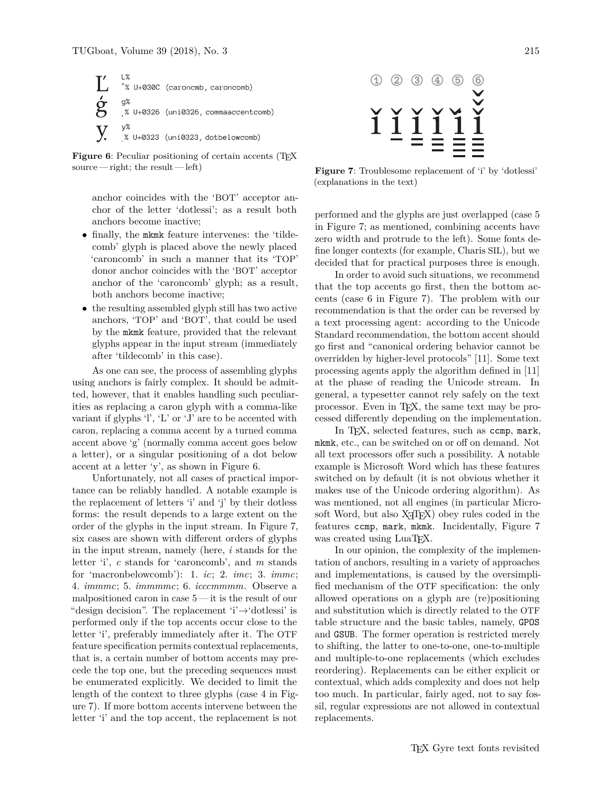

**Figure 6**: Peculiar positioning of certain accents (T<sub>E</sub>X source— right; the result— left)

anchor coincides with the 'BOT' acceptor anchor of the letter 'dotlessi'; as a result both anchors become inactive;

- finally, the mkmk feature intervenes: the 'tildecomb' glyph is placed above the newly placed 'caroncomb' in such a manner that its 'TOP' donor anchor coincides with the 'BOT' acceptor anchor of the 'caroncomb' glyph; as a result, both anchors become inactive;
- the resulting assembled glyph still has two active anchors, 'TOP' and 'BOT', that could be used by the mkmk feature, provided that the relevant glyphs appear in the input stream (immediately after 'tildecomb' in this case).

As one can see, the process of assembling glyphs using anchors is fairly complex. It should be admitted, however, that it enables handling such peculiarities as replacing a caron glyph with a comma-like variant if glyphs 'l', 'L' or 'J' are to be accented with caron, replacing a comma accent by a turned comma accent above 'g' (normally comma accent goes below a letter), or a singular positioning of a dot below accent at a letter 'y', as shown in Figure 6.

Unfortunately, not all cases of practical importance can be reliably handled. A notable example is the replacement of letters 'i' and 'j' by their dotless forms: the result depends to a large extent on the order of the glyphs in the input stream. In Figure 7, six cases are shown with different orders of glyphs in the input stream, namely (here, *i* stands for the letter 'i', *c* stands for 'caroncomb', and *m* stands for 'macronbelowcomb'): 1. *ic*; 2. *imc*; 3. *immc*; 4. *immmc*; 5. *immmmc*; 6. *icccmmmm*. Observe a malpositioned caron in case 5 — it is the result of our "design decision". The replacement 'i'→'dotlessi' is performed only if the top accents occur close to the letter 'i', preferably immediately after it. The OTF feature specification permits contextual replacements, that is, a certain number of bottom accents may precede the top one, but the preceding sequences must be enumerated explicitly. We decided to limit the length of the context to three glyphs (case 4 in Figure 7). If more bottom accents intervene between the letter 'i' and the top accent, the replacement is not



Figure 7: Troublesome replacement of 'i' by 'dotlessi' (explanations in the text)

performed and the glyphs are just overlapped (case 5 in Figure 7; as mentioned, combining accents have zero width and protrude to the left). Some fonts define longer contexts (for example, Charis SIL), but we decided that for practical purposes three is enough.

In order to avoid such situations, we recommend that the top accents go first, then the bottom accents (case 6 in Figure 7). The problem with our recommendation is that the order can be reversed by a text processing agent: according to the Unicode Standard recommendation, the bottom accent should go first and "canonical ordering behavior cannot be overridden by higher-level protocols" [11]. Some text processing agents apply the algorithm defined in [11] at the phase of reading the Unicode stream. In general, a typesetter cannot rely safely on the text processor. Even in TEX, the same text may be processed differently depending on the implementation.

In T<sub>E</sub>X, selected features, such as comp, mark, mkmk, etc., can be switched on or off on demand. Not all text processors offer such a possibility. A notable example is Microsoft Word which has these features switched on by default (it is not obvious whether it makes use of the Unicode ordering algorithm). As was mentioned, not all engines (in particular Microsoft Word, but also X<sub>T</sub>T<sub>F</sub>X) obey rules coded in the features ccmp, mark, mkmk. Incidentally, Figure 7 was created using LuaT<sub>EX</sub>.

In our opinion, the complexity of the implementation of anchors, resulting in a variety of approaches and implementations, is caused by the oversimplified mechanism of the OTF specification: the only allowed operations on a glyph are (re)positioning and substitution which is directly related to the OTF table structure and the basic tables, namely, GPOS and GSUB. The former operation is restricted merely to shifting, the latter to one-to-one, one-to-multiple and multiple-to-one replacements (which excludes reordering). Replacements can be either explicit or contextual, which adds complexity and does not help too much. In particular, fairly aged, not to say fossil, regular expressions are not allowed in contextual replacements.